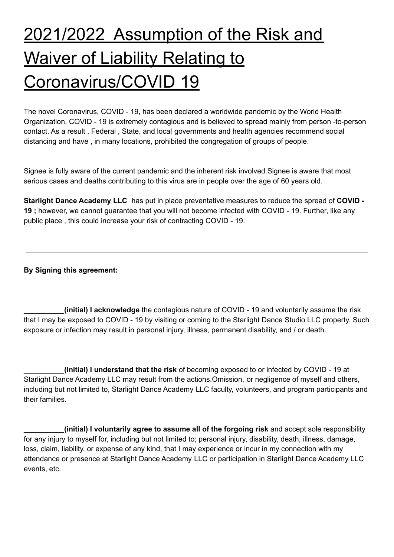## 2021/2022 Assumption of the Risk and Waiver of Liability Relating to Coronavirus/COVID 19

The novel Coronavirus, COVID - 19, has been declared a worldwide pandemic by the World Health Organization. COVID - 19 is extremely contagious and is believed to spread mainly from person -to-person contact. As a result , Federal , State, and local governments and health agencies recommend social distancing and have , in many locations, prohibited the congregation of groups of people.

Signee is fully aware of the current pandemic and the inherent risk involved.Signee is aware that most serious cases and deaths contributing to this virus are in people over the age of 60 years old.

**Starlight Dance Academy LLC** has put in place preventative measures to reduce the spread of **COVID - 19 ;** however, we cannot guarantee that you will not become infected with COVID - 19. Further, like any public place , this could increase your risk of contracting COVID - 19.

**By Signing this agreement:**

**\_\_\_\_\_\_\_\_\_\_(initial) I acknowledge** the contagious nature of COVID - 19 and voluntarily assume the risk that I may be exposed to COVID - 19 by visiting or coming to the Starlight Dance Studio LLC property. Such exposure or infection may result in personal injury, illness, permanent disability, and / or death.

**\_\_\_\_\_\_\_\_\_\_(initial) I understand that the risk** of becoming exposed to or infected by COVID - 19 at Starlight Dance Academy LLC may result from the actions.Omission, or negligence of myself and others, including but not limited to, Starlight Dance Academy LLC faculty, volunteers, and program participants and their families.

**\_\_\_\_\_\_\_\_\_\_(initial) I voluntarily agree to assume all of the forgoing risk** and accept sole responsibility for any injury to myself for, including but not limited to; personal injury, disability, death, illness, damage, loss, claim, liability, or expense of any kind, that I may experience or incur in my connection with my attendance or presence at Starlight Dance Academy LLC or participation in Starlight Dance Academy LLC events, etc.